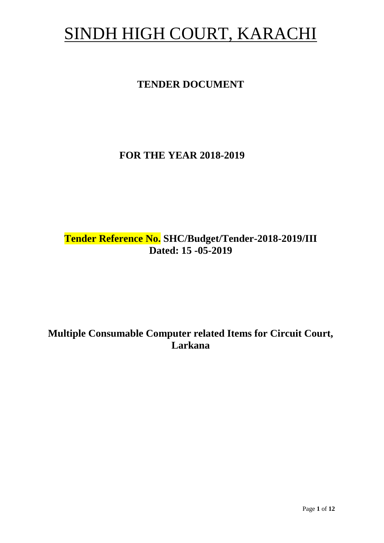# SINDH HIGH COURT, KARACHI

## **TENDER DOCUMENT**

**FOR THE YEAR 2018-2019**

# **Tender Reference No. SHC/Budget/Tender-2018-2019/III Dated: 15 -05-2019**

**Multiple Consumable Computer related Items for Circuit Court, Larkana**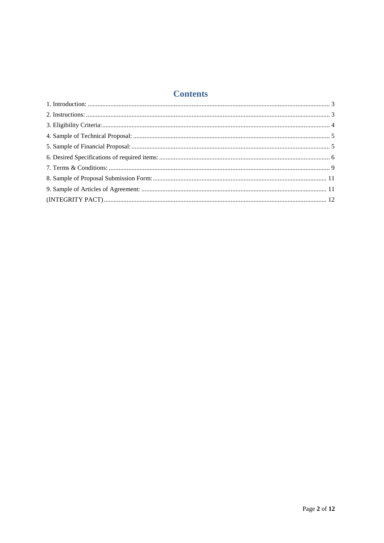## **Contents**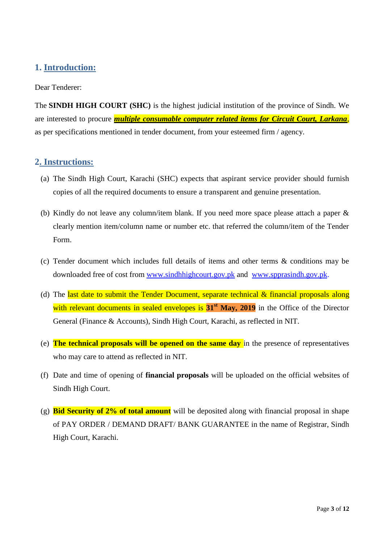## <span id="page-2-0"></span>**1. Introduction:**

Dear Tenderer:

The **SINDH HIGH COURT (SHC)** is the highest judicial institution of the province of [Sindh.](https://en.wikipedia.org/wiki/Sindh) We are interested to procure *multiple consumable computer related items for Circuit Court, Larkana*, as per specifications mentioned in tender document, from your esteemed firm / agency.

#### <span id="page-2-1"></span>**2. Instructions:**

- (a) The Sindh High Court, Karachi (SHC) expects that aspirant service provider should furnish copies of all the required documents to ensure a transparent and genuine presentation.
- (b) Kindly do not leave any column/item blank. If you need more space please attach a paper & clearly mention item/column name or number etc. that referred the column/item of the Tender Form.
- (c) Tender document which includes full details of items and other terms & conditions may be downloaded free of cost from [www.sindhhighcourt.gov.pk](http://www.sindhhighcourt.gov.pk/) and [www.spprasindh.gov.pk.](http://www.spprasindh.gov.pk/)
- (d) The last date to submit the Tender Document, separate technical  $\&$  financial proposals along with relevant documents in sealed envelopes is 31<sup>st</sup> May, 2019 in the Office of the Director General (Finance & Accounts), Sindh High Court, Karachi, as reflected in NIT.
- (e) **The technical proposals will be opened on the same day** in the presence of representatives who may care to attend as reflected in NIT.
- (f) Date and time of opening of **financial proposals** will be uploaded on the official websites of Sindh High Court.
- (g) **Bid Security of 2% of total amount** will be deposited along with financial proposal in shape of PAY ORDER / DEMAND DRAFT/ BANK GUARANTEE in the name of Registrar, Sindh High Court, Karachi.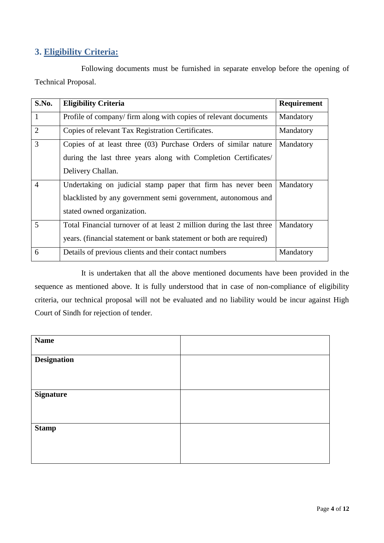## <span id="page-3-0"></span>**3. Eligibility Criteria:**

Following documents must be furnished in separate envelop before the opening of Technical Proposal.

| S.No.          | <b>Eligibility Criteria</b>                                          | Requirement |  |
|----------------|----------------------------------------------------------------------|-------------|--|
| $\mathbf{1}$   | Profile of company/firm along with copies of relevant documents      | Mandatory   |  |
| $\overline{2}$ | Copies of relevant Tax Registration Certificates.                    | Mandatory   |  |
| $\overline{3}$ | Copies of at least three (03) Purchase Orders of similar nature      | Mandatory   |  |
|                | during the last three years along with Completion Certificates/      |             |  |
|                | Delivery Challan.                                                    |             |  |
| $\overline{4}$ | Undertaking on judicial stamp paper that firm has never been         | Mandatory   |  |
|                | blacklisted by any government semi government, autonomous and        |             |  |
|                | stated owned organization.                                           |             |  |
| $\overline{5}$ | Total Financial turnover of at least 2 million during the last three | Mandatory   |  |
|                | years. (financial statement or bank statement or both are required)  |             |  |
| 6              | Details of previous clients and their contact numbers                | Mandatory   |  |

It is undertaken that all the above mentioned documents have been provided in the sequence as mentioned above. It is fully understood that in case of non-compliance of eligibility criteria, our technical proposal will not be evaluated and no liability would be incur against High Court of Sindh for rejection of tender.

| <b>Name</b>        |  |
|--------------------|--|
| <b>Designation</b> |  |
|                    |  |
| <b>Signature</b>   |  |
|                    |  |
| <b>Stamp</b>       |  |
|                    |  |
|                    |  |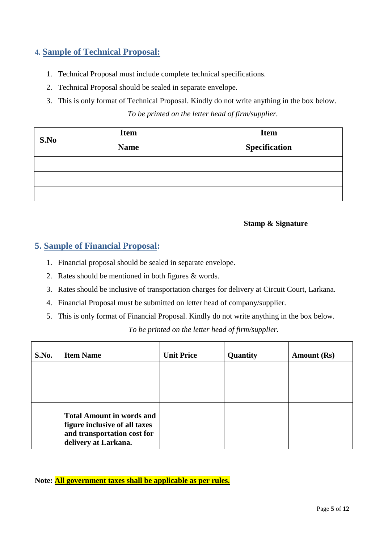## <span id="page-4-0"></span>**4. Sample of Technical Proposal:**

- 1. Technical Proposal must include complete technical specifications.
- 2. Technical Proposal should be sealed in separate envelope.
- 3. This is only format of Technical Proposal. Kindly do not write anything in the box below. *To be printed on the letter head of firm/supplier.*

| S.No | <b>Item</b> | <b>Item</b>   |
|------|-------------|---------------|
|      | <b>Name</b> | Specification |
|      |             |               |
|      |             |               |
|      |             |               |

#### **Stamp & Signature**

### <span id="page-4-1"></span>**5. Sample of Financial Proposal:**

- 1. Financial proposal should be sealed in separate envelope.
- 2. Rates should be mentioned in both figures & words.
- 3. Rates should be inclusive of transportation charges for delivery at Circuit Court, Larkana.
- 4. Financial Proposal must be submitted on letter head of company/supplier.
- 5. This is only format of Financial Proposal. Kindly do not write anything in the box below.

*To be printed on the letter head of firm/supplier.*

| S.No. | <b>Item Name</b>                                                                                                         | <b>Unit Price</b> | Quantity | <b>Amount</b> (Rs) |
|-------|--------------------------------------------------------------------------------------------------------------------------|-------------------|----------|--------------------|
|       |                                                                                                                          |                   |          |                    |
|       |                                                                                                                          |                   |          |                    |
|       | <b>Total Amount in words and</b><br>figure inclusive of all taxes<br>and transportation cost for<br>delivery at Larkana. |                   |          |                    |

**Note: All government taxes shall be applicable as per rules.**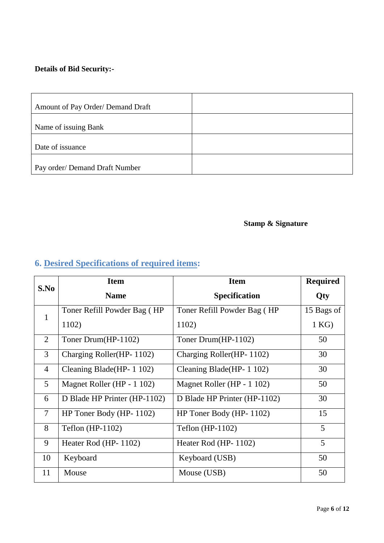## **Details of Bid Security:-**

| Amount of Pay Order/ Demand Draft |  |
|-----------------------------------|--|
| Name of issuing Bank              |  |
| Date of issuance                  |  |
| Pay order/ Demand Draft Number    |  |

## **Stamp & Signature**

## <span id="page-5-0"></span>**6. Desired Specifications of required items:**

| S.No           | <b>Item</b>                  | <b>Item</b>                  | <b>Required</b> |
|----------------|------------------------------|------------------------------|-----------------|
|                | <b>Name</b>                  | <b>Specification</b>         | Qty             |
| $\mathbf{1}$   | Toner Refill Powder Bag (HP  | Toner Refill Powder Bag (HP  | 15 Bags of      |
|                | 1102)                        | 1102)                        | 1 KG            |
| 2              | Toner Drum(HP-1102)          | Toner Drum(HP-1102)          | 50              |
| 3              | Charging Roller (HP-1102)    | Charging Roller (HP-1102)    | 30              |
| $\overline{4}$ | Cleaning Blade(HP- 1 102)    | Cleaning Blade(HP- 1 102)    | 30              |
| 5 <sup>5</sup> | Magnet Roller (HP - 1 102)   | Magnet Roller (HP - 1 102)   | 50              |
| 6              | D Blade HP Printer (HP-1102) | D Blade HP Printer (HP-1102) | 30              |
| $\tau$         | HP Toner Body (HP-1102)      | HP Toner Body (HP-1102)      | 15              |
| 8              | Teflon $(HP-1102)$           | Teflon $(HP-1102)$           | 5               |
| 9              | Heater Rod (HP-1102)         | Heater Rod (HP-1102)         | 5               |
| 10             | Keyboard                     | Keyboard (USB)               | 50              |
| 11             | Mouse                        | Mouse (USB)                  | 50              |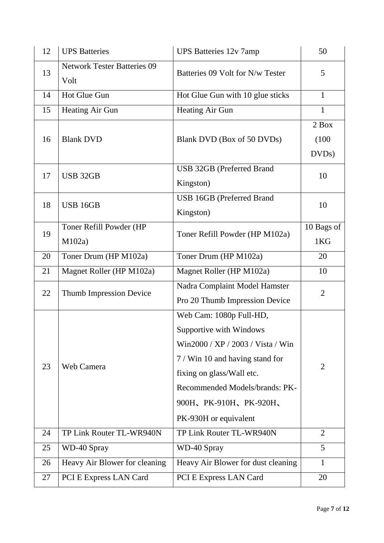| 12 | <b>UPS</b> Batteries                       | <b>UPS Batteries 12v 7amp</b>                                                                                                                                                                                                                 | 50                      |
|----|--------------------------------------------|-----------------------------------------------------------------------------------------------------------------------------------------------------------------------------------------------------------------------------------------------|-------------------------|
| 13 | <b>Network Tester Batteries 09</b><br>Volt | Batteries 09 Volt for N/w Tester                                                                                                                                                                                                              | 5                       |
| 14 | Hot Glue Gun                               | Hot Glue Gun with 10 glue sticks                                                                                                                                                                                                              | $\mathbf{1}$            |
| 15 | Heating Air Gun                            | Heating Air Gun                                                                                                                                                                                                                               | $\mathbf{1}$            |
| 16 | <b>Blank DVD</b>                           | Blank DVD (Box of 50 DVDs)                                                                                                                                                                                                                    | 2 Box<br>(100)<br>DVDs) |
| 17 | USB 32GB                                   | USB 32GB (Preferred Brand<br>Kingston)                                                                                                                                                                                                        | 10                      |
| 18 | <b>USB 16GB</b>                            | <b>USB 16GB (Preferred Brand</b><br>Kingston)                                                                                                                                                                                                 | 10                      |
| 19 | Toner Refill Powder (HP<br>M102a)          | Toner Refill Powder (HP M102a)                                                                                                                                                                                                                | 10 Bags of<br>1KG       |
| 20 | Toner Drum (HP M102a)                      | Toner Drum (HP M102a)                                                                                                                                                                                                                         | 20                      |
| 21 | Magnet Roller (HP M102a)                   | Magnet Roller (HP M102a)                                                                                                                                                                                                                      | 10                      |
| 22 | Thumb Impression Device                    | Nadra Complaint Model Hamster<br>Pro 20 Thumb Impression Device                                                                                                                                                                               | $\overline{2}$          |
| 23 | Web Camera                                 | Web Cam: 1080p Full-HD,<br>Supportive with Windows<br>Win2000 / XP / 2003 / Vista / Win<br>7 / Win 10 and having stand for<br>fixing on glass/Wall etc.<br>Recommended Models/brands: PK-<br>900H, PK-910H, PK-920H,<br>PK-930H or equivalent | $\overline{2}$          |
| 24 | TP Link Router TL-WR940N                   | TP Link Router TL-WR940N                                                                                                                                                                                                                      | $\overline{2}$          |
| 25 | WD-40 Spray                                | WD-40 Spray                                                                                                                                                                                                                                   | 5                       |
| 26 | Heavy Air Blower for cleaning              | Heavy Air Blower for dust cleaning                                                                                                                                                                                                            | 1                       |
| 27 | <b>PCI E Express LAN Card</b>              | <b>PCI E Express LAN Card</b>                                                                                                                                                                                                                 | 20                      |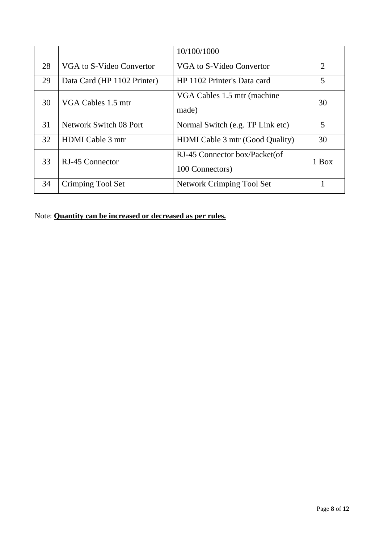|    |                             | 10/100/1000                                      |                |
|----|-----------------------------|--------------------------------------------------|----------------|
| 28 | VGA to S-Video Convertor    | VGA to S-Video Convertor                         | $\overline{2}$ |
| 29 | Data Card (HP 1102 Printer) | HP 1102 Printer's Data card                      | 5              |
| 30 | VGA Cables 1.5 mtr          | VGA Cables 1.5 mtr (machine<br>made)             | 30             |
| 31 | Network Switch 08 Port      | Normal Switch (e.g. TP Link etc)                 | 5              |
| 32 | <b>HDMI</b> Cable 3 mtr     | HDMI Cable 3 mtr (Good Quality)                  | 30             |
| 33 | RJ-45 Connector             | RJ-45 Connector box/Packet(of<br>100 Connectors) | 1 Box          |
| 34 | Crimping Tool Set           | <b>Network Crimping Tool Set</b>                 |                |

Note: **Quantity can be increased or decreased as per rules.**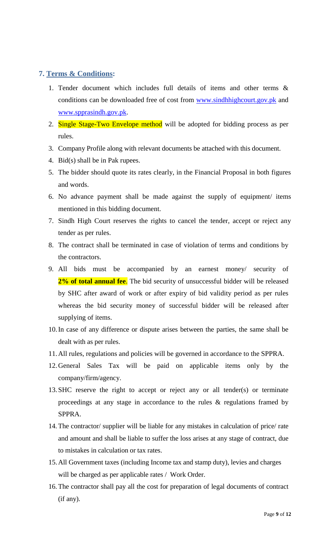## <span id="page-8-0"></span>**7. Terms & Conditions:**

- 1. Tender document which includes full details of items and other terms & conditions can be downloaded free of cost from [www.sindhhighcourt.gov.pk](http://www.sindhhighcourt.gov.pk/) and [www.spprasindh.gov.pk.](http://www.spprasindh.gov.pk/)
- 2. Single Stage-Two Envelope method will be adopted for bidding process as per rules.
- 3. Company Profile along with relevant documents be attached with this document.
- 4. Bid(s) shall be in Pak rupees.
- 5. The bidder should quote its rates clearly, in the Financial Proposal in both figures and words.
- 6. No advance payment shall be made against the supply of equipment/ items mentioned in this bidding document.
- 7. Sindh High Court reserves the rights to cancel the tender, accept or reject any tender as per rules.
- 8. The contract shall be terminated in case of violation of terms and conditions by the contractors.
- 9. All bids must be accompanied by an earnest money/ security of **2% of total annual fee**. The bid security of unsuccessful bidder will be released by SHC after award of work or after expiry of bid validity period as per rules whereas the bid security money of successful bidder will be released after supplying of items.
- 10.In case of any difference or dispute arises between the parties, the same shall be dealt with as per rules.
- 11.All rules, regulations and policies will be governed in accordance to the SPPRA.
- 12.General Sales Tax will be paid on applicable items only by the company/firm/agency.
- 13.SHC reserve the right to accept or reject any or all tender(s) or terminate proceedings at any stage in accordance to the rules & regulations framed by SPPRA.
- 14. The contractor/ supplier will be liable for any mistakes in calculation of price/ rate and amount and shall be liable to suffer the loss arises at any stage of contract, due to mistakes in calculation or tax rates.
- 15.All Government taxes (including Income tax and stamp duty), levies and charges will be charged as per applicable rates / Work Order.
- 16. The contractor shall pay all the cost for preparation of legal documents of contract (if any).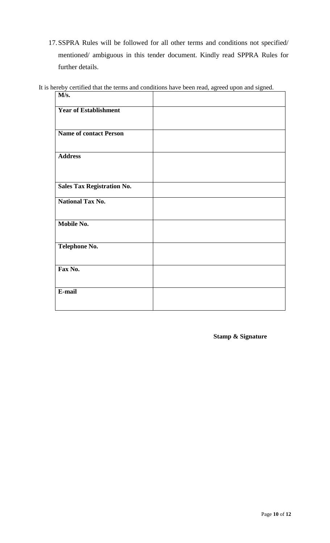17.SSPRA Rules will be followed for all other terms and conditions not specified/ mentioned/ ambiguous in this tender document. Kindly read SPPRA Rules for further details.

| It is hereby certified that the terms and conditions have been read, agreed upon and signed. |  |  |  |  |
|----------------------------------------------------------------------------------------------|--|--|--|--|
| $\mathbf{M}$                                                                                 |  |  |  |  |

| M/s.                              |  |
|-----------------------------------|--|
| <b>Year of Establishment</b>      |  |
|                                   |  |
| <b>Name of contact Person</b>     |  |
|                                   |  |
| <b>Address</b>                    |  |
|                                   |  |
|                                   |  |
| <b>Sales Tax Registration No.</b> |  |
| <b>National Tax No.</b>           |  |
|                                   |  |
| Mobile No.                        |  |
|                                   |  |
| Telephone No.                     |  |
|                                   |  |
| Fax No.                           |  |
|                                   |  |
| E-mail                            |  |
|                                   |  |

**Stamp & Signature**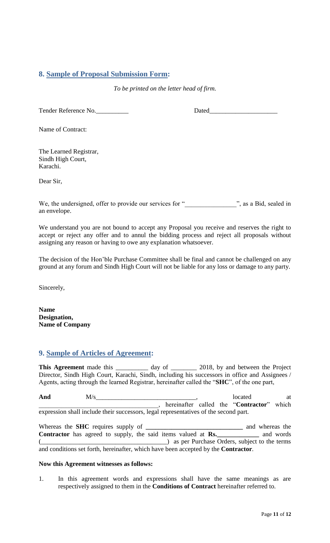## <span id="page-10-0"></span>**8. Sample of Proposal Submission Form:**

*To be printed on the letter head of firm.*

Tender Reference No.\_\_\_\_\_\_\_\_\_\_ Dated\_\_\_\_\_\_\_\_\_\_\_\_\_\_\_\_\_\_\_\_\_

Name of Contract:

The Learned Registrar, Sindh High Court, Karachi.

Dear Sir,

We, the undersigned, offer to provide our services for " z, as a Bid, sealed in an envelope.

We understand you are not bound to accept any Proposal you receive and reserves the right to accept or reject any offer and to annul the bidding process and reject all proposals without assigning any reason or having to owe any explanation whatsoever.

<span id="page-10-1"></span>The decision of the Hon"ble Purchase Committee shall be final and cannot be challenged on any ground at any forum and Sindh High Court will not be liable for any loss or damage to any party.

Sincerely,

**Name Designation, Name of Company**

## **9. Sample of Articles of Agreement:**

This Agreement made this \_\_\_\_\_\_\_\_\_\_ day of \_\_\_\_\_\_\_\_ 2018, by and between the Project Director, Sindh High Court, Karachi, Sindh, including his successors in office and Assignees / Agents, acting through the learned Registrar, hereinafter called the "**SHC**", of the one part,

And M/s and M/s and M/s and M/s and M/s and M/s and M/s and M/s and M/s and M/s and M/s and M/s and M/s and M/s and M/s and M/s and M/s and M/s and M/s and M/s and M/s and M/s and M/s and M/s and M/s and M/s and M/s and M/ \_\_\_\_\_\_\_\_\_\_\_\_\_\_\_\_\_\_\_\_\_\_\_\_\_\_\_\_\_\_\_\_\_\_\_\_\_, hereinafter called the "**Contractor**" which expression shall include their successors, legal representatives of the second part.

Whereas the **SHC** requires supply of **\_\_\_\_\_\_\_\_\_\_\_\_\_\_\_\_\_\_\_\_\_\_\_\_\_\_\_\_\_\_** and whereas the **Contractor** has agreed to supply, the said items valued at **Rs.\_\_\_\_\_\_\_\_\_\_\_\_\_** and words (\_\_\_\_\_\_\_\_\_\_\_\_\_\_\_\_\_\_\_\_\_\_\_\_\_\_\_\_\_\_\_\_\_\_\_\_\_\_\_) as per Purchase Orders, subject to the terms and conditions set forth, hereinafter, which have been accepted by the **Contractor**.

#### **Now this Agreement witnesses as follows:**

1. In this agreement words and expressions shall have the same meanings as are respectively assigned to them in the **Conditions of Contract** hereinafter referred to.